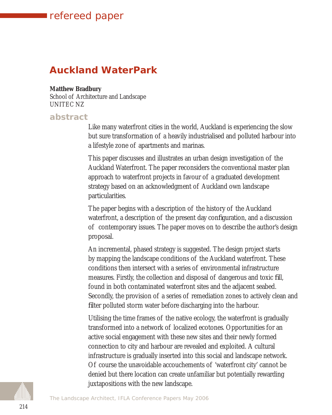# refereed paper

refereed

# **Auckland WaterPark**

#### **Matthew Bradbury**

School of Architecture and Landscape UNITEC NZ

### **abstract**

Like many waterfront cities in the world, Auckland is experiencing the slow but sure transformation of a heavily industrialised and polluted harbour into a lifestyle zone of apartments and marinas.

This paper discusses and illustrates an urban design investigation of the Auckland Waterfront. The paper reconsiders the conventional master plan approach to waterfront projects in favour of a graduated development strategy based on an acknowledgment of Auckland own landscape particularities.

The paper begins with a description of the history of the Auckland waterfront, a description of the present day configuration, and a discussion of contemporary issues. The paper moves on to describe the author's design proposal.

An incremental, phased strategy is suggested. The design project starts by mapping the landscape conditions of the Auckland waterfront. These conditions then intersect with a series of environmental infrastructure measures. Firstly, the collection and disposal of dangerous and toxic fill, found in both contaminated waterfront sites and the adjacent seabed. Secondly, the provision of a series of remediation zones to actively clean and filter polluted storm water before discharging into the harbour.

Utilising the time frames of the native ecology, the waterfront is gradually transformed into a network of localized ecotones. Opportunities for an active social engagement with these new sites and their newly formed connection to city and harbour are revealed and exploited. A cultural infrastructure is gradually inserted into this social and landscape network. Of course the unavoidable accouchements of 'waterfront city' cannot be denied but there location can create unfamiliar but potentially rewarding juxtapositions with the new landscape.

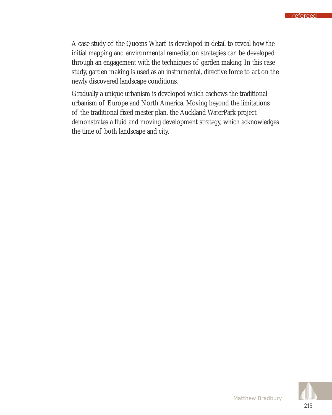A case study of the Queens Wharf is developed in detail to reveal how the initial mapping and environmental remediation strategies can be developed through an engagement with the techniques of garden making. In this case study, garden making is used as an instrumental, directive force to act on the newly discovered landscape conditions.

Gradually a unique urbanism is developed which eschews the traditional urbanism of Europe and North America. Moving beyond the limitations of the traditional fixed master plan, the Auckland WaterPark project demonstrates a fluid and moving development strategy, which acknowledges the time of both landscape and city.

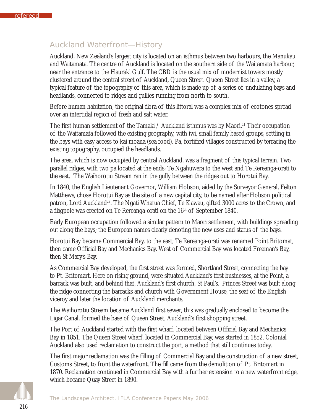## Auckland Waterfront—History

Auckland, New Zealand's largest city is located on an isthmus between two harbours, the Manukau and Waitamata. The centre of Auckland is located on the southern side of the Waitamata harbour, near the entrance to the Hauraki Gulf. The CBD is the usual mix of modernist towers mostly clustered around the central street of Auckland, Queen Street. Queen Street lies in a valley, a typical feature of the topography of this area, which is made up of a series of undulating bays and headlands, connected to ridges and gullies running from north to south.

Before human habitation, the original flora of this littoral was a complex mix of ecotones spread over an intertidal region of fresh and salt water.

The first human settlement of the Tamaki / Auckland isthmus was by Maori.<sup>11</sup> Their occupation of the Waitamata followed the existing geography, with iwi, small family based groups, settling in the bays with easy access to kai moana (sea food). Pa, fortified villages constructed by terracing the existing topography, occupied the headlands.

The area, which is now occupied by central Auckland, was a fragment of this typical terrain. Two parallel ridges, with two pa located at the ends; Te Ngahuwera to the west and Te Rereanga-orati to the east. The Waihorotiu Stream ran in the gully between the ridges out to Horotui Bay.

In 1840, the English Lieutenant Governor, William Hobson, aided by the Surveyor General, Felton Matthews, chose Horotui Bay as the site of a new capital city, to be named after Hobson political patron, Lord Auckland<sup>22</sup>. The Ngati Whatua Chief, Te Kawau, gifted 3000 acres to the Crown, and a flagpole was erected on Te Rereanga-orati on the 16<sup>th</sup> of September 1840.

Early European occupation followed a similar pattern to Maori settlement, with buildings spreading out along the bays; the European names clearly denoting the new uses and status of the bays.

Horotui Bay became Commercial Bay, to the east; Te Rereanga-orati was renamed Point Britomat, then came Official Bay and Mechanics Bay. West of Commercial Bay was located Freeman's Bay, then St Mary's Bay.

As Commercial Bay developed, the first street was formed, Shortland Street, connecting the bay to Pt. Britomart. Here on rising ground, were situated Auckland's first businesses, at the Point, a barrack was built, and behind that, Auckland's first church, St Paul's. Princes Street was built along the ridge connecting the barracks and church with Government House, the seat of the English viceroy and later the location of Auckland merchants.

The Waihorotiu Stream became Auckland first sewer, this was gradually enclosed to become the Ligar Canal, formed the base of Queen Street, Auckland's first shopping street.

The Port of Auckland started with the first wharf, located between Official Bay and Mechanics Bay in 1851. The Queen Street wharf, located in Commercial Bay, was started in 1852. Colonial Auckland also used reclamation to construct the port, a method that still continues today.

The first major reclamation was the filling of Commercial Bay and the construction of a new street, Customs Street, to front the waterfront. The fill came from the demolition of Pt. Britomart in 1870. Reclamation continued in Commercial Bay with a further extension to a new waterfront edge, which became Quay Street in 1890.

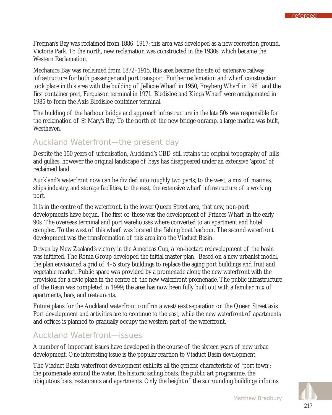Freeman's Bay was reclaimed from 1886–1917; this area was developed as a new recreation ground, Victoria Park. To the north, new reclamation was constructed in the 1930s, which became the Western Reclamation.

Mechanics Bay was reclaimed from 1872–1915, this area became the site of extensive railway infrastructure for both passenger and port transport. Further reclamation and wharf construction took place in this area with the building of Jellicoe Wharf in 1950, Freyberg Wharf in 1961 and the first container port, Fergusson terminal in 1971. Bledisloe and Kings Wharf were amalgamated in 1985 to form the Axis Bledisloe container terminal.

The building of the harbour bridge and approach infrastructure in the late 50s was responsible for the reclamation of St Mary's Bay. To the north of the new bridge onramp, a large marina was built, Westhaven.

## Auckland Waterfront—the present day

Despite the 150 years of urbanisation, Auckland's CBD still retains the original topography of hills and gullies, however the original landscape of bays has disappeared under an extensive 'apron' of reclaimed land.

Auckland's waterfront now can be divided into roughly two parts; to the west, a mix of marinas, ships industry, and storage facilities, to the east, the extensive wharf infrastructure of a working port.

It is in the centre of the waterfront, in the lower Queen Street area, that new, non-port developments have begun. The first of these was the development of Princes Wharf in the early 90s. The overseas terminal and port warehouses where converted to an apartment and hotel complex. To the west of this wharf was located the fishing boat harbour. The second waterfront development was the transformation of this area into the Viaduct Basin.

Driven by New Zealand's victory in the Americas Cup, a ten-hectare redevelopment of the basin was initiated. The Roma Group developed the initial master plan. Based on a new urbanist model, the plan envisioned a grid of 4–5 story buildings to replace the aging port buildings and fruit and vegetable market. Public space was provided by a promenade along the new waterfront with the provision for a civic plaza in the centre of the new waterfront promenade. The public infrastructure of the Basin was completed in 1999; the area has now been fully built out with a familiar mix of apartments, bars, and restaurants.

Future plans for the Auckland waterfront confirm a west/east separation on the Queen Street axis. Port development and activities are to continue to the east, while the new waterfront of apartments and offices is planned to gradually occupy the western part of the waterfront.

### Auckland Waterfront—issues

A number of important issues have developed in the course of the sixteen years of new urban development. One interesting issue is the popular reaction to Viaduct Basin development.

The Viaduct Basin waterfront development exhibits all the generic characteristic of 'port town'; the promenade around the water, the historic sailing boats, the public art programme, the ubiquitous bars, restaurants and apartments. Only the height of the surrounding buildings informs

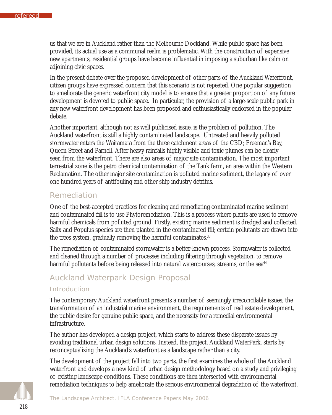us that we are in Auckland rather than the Melbourne Dockland. While public space has been provided, its actual use as a communal realm is problematic. With the construction of expensive new apartments, residential groups have become influential in imposing a suburban like calm on adjoining civic spaces.

In the present debate over the proposed development of other parts of the Auckland Waterfront, citizen groups have expressed concern that this scenario is not repeated. One popular suggestion to ameliorate the generic waterfront city model is to ensure that a greater proportion of any future development is devoted to public space. In particular, the provision of a large-scale public park in any new waterfront development has been proposed and enthusiastically endorsed in the popular debate.

Another important, although not as well publicised issue, is the problem of pollution. The Auckland waterfront is still a highly contaminated landscape. Untreated and heavily polluted stormwater enters the Waitamata from the three catchment areas of the CBD; Freeman's Bay, Queen Street and Parnell. After heavy rainfalls highly visible and toxic plumes can be clearly seen from the waterfront. There are also areas of major site contamination. The most important terrestrial zone is the petro chemical contamination of the Tank farm, an area within the Western Reclamation. The other major site contamination is polluted marine sediment, the legacy of over one hundred years of antifouling and other ship industry detritus.

### Remediation

One of the best-accepted practices for cleaning and remediating contaminated marine sediment and contaminated fill is to use Phytoremediation. This is a process where plants are used to remove harmful chemicals from polluted ground. Firstly, existing marine sediment is dredged and collected. Salix and Populus species are then planted in the contaminated fill; certain pollutants are drawn into the trees system, gradually removing the harmful contaminates.<sup>33</sup>

The remediation of contaminated stormwater is a better-known process. Stormwater is collected and cleaned through a number of processes including filtering through vegetation, to remove harmful pollutants before being released into natural watercourses, streams, or the sea<sup>44</sup>

## Auckland Waterpark Design Proposal

#### *Introduction*

The contemporary Auckland waterfront presents a number of seemingly irreconcilable issues; the transformation of an industrial marine environment, the requirements of real estate development, the public desire for genuine public space, and the necessity for a remedial environmental infrastructure.

The author has developed a design project, which starts to address these disparate issues by avoiding traditional urban design solutions. Instead, the project, Auckland WaterPark, starts by reconceptualizing the Auckland's waterfront as a landscape rather than a city.

The development of the project fall into two parts, the first examines the whole of the Auckland waterfront and develops a new kind of urban design methodology based on a study and privileging of existing landscape conditions. These conditions are then intersected with environmental remediation techniques to help ameliorate the serious environmental degradation of the waterfront.

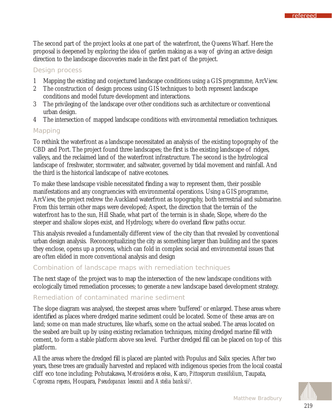The second part of the project looks at one part of the waterfront, the Queens Wharf. Here the proposal is deepened by exploring the idea of garden making as a way of giving an active design direction to the landscape discoveries made in the first part of the project.

#### *Design process*

- 1 Mapping the existing and conjectured landscape conditions using a GIS programme, ArcView.
- 2 The construction of design process using GIS techniques to both represent landscape conditions and model future development and interactions.
- 3 The privileging of the landscape over other conditions such as architecture or conventional urban design.
- 4 The intersection of mapped landscape conditions with environmental remediation techniques.

### *Mapping*

To rethink the waterfront as a landscape necessitated an analysis of the existing topography of the CBD and Port. The project found three landscapes; the first is the existing landscape of ridges, valleys, and the reclaimed land of the waterfront infrastructure. The second is the hydrological landscape of freshwater, stormwater, and saltwater, governed by tidal movement and rainfall. And the third is the historical landscape of native ecotones.

To make these landscape visible necessitated finding a way to represent them, their possible manifestations and any congruencies with environmental operations. Using a GIS programme, ArcView, the project redrew the Auckland waterfront as topography, both terrestrial and submarine. From this terrain other maps were developed; Aspect, the direction that the terrain of the waterfront has to the sun, Hill Shade, what part of the terrain is in shade, Slope, where do the steeper and shallow slopes exist, and Hydrology, where do overland flow paths occur.

This analysis revealed a fundamentally different view of the city than that revealed by conventional urban design analysis. Reconceptualizing the city as something larger than building and the spaces they enclose, opens up a process, which can fold in complex social and environmental issues that are often elided in more conventional analysis and design

### *Combination of landscape maps with remediation techniques*

The next stage of the project was to map the intersection of the new landscape conditions with ecologically timed remediation processes; to generate a new landscape based development strategy.

### *Remediation of contaminated marine sediment*

The slope diagram was analysed, the steepest areas where 'buffered' or enlarged. These areas where identified as places where dredged marine sediment could be located. Some of these areas are on land; some on man made structures, like wharfs, some on the actual seabed. The areas located on the seabed are built up by using existing reclamation techniques, mixing dredged marine fill with cement, to form a stable platform above sea level. Further dredged fill can be placed on top of this platform.

All the areas where the dredged fill is placed are planted with Populus and Salix species. After two years, these trees are gradually harvested and replaced with indigenous species from the local coastal cliff eco tone including; Pohutakawa, *Metrosideros excelsa*, Karo, *Pittosporum crassifolium*, Taupata, *Coprosma repens*, Houpara, *Pseudopanax lessonii* and *Astelia banksii5 .* 

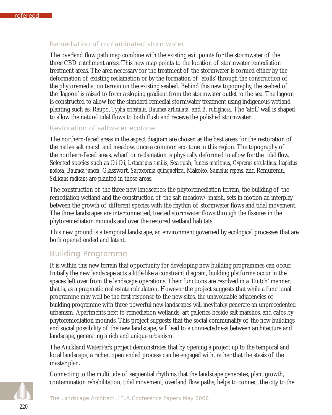### *Remediation of contaminated stormwater*

The overland flow path map combine with the existing exit points for the stormwater of the three CBD catchment areas. This new map points to the location of stormwater remediation treatment areas. The area necessary for the treatment of the stormwater is formed either by the deformation of existing reclamation or by the formation of 'atolls' through the construction of the phytoremediation terrain on the existing seabed. Behind this new topography, the seabed of the 'lagoon' is raised to form a sloping gradient from the stormwater outlet to the sea. The lagoon is constructed to allow for the standard remedial stormwater treatment using indigenous wetland planting such as; Raupo, *Typha orientalis, Baumea articulata,* and *B. rubiginosa*. The 'atoll' wall is shaped to allow the natural tidal flows to both flush and receive the polished stormwater.

### *Restoration of saltwater ecotone*

The northern-faced areas in the aspect diagram are chosen as the best areas for the restoration of the native salt marsh and meadow, once a common eco tone in this region. The topography of the northern-faced areas, wharf or reclamation is physically deformed to allow for the tidal flow. Selected species such as Oi Oi, *Letocarpus similis*, Sea rush, *Juncus maritmus*, *Cyprerus ustulathus, Isopletus nodosa, Baumea juncea*, Glasswort, *Sarcocornia quinquefl ora*, Makoko, *Samolus repens,* and Remuremu, *Sellicans radicans* are planted in these areas.

The construction of the three new landscapes; the phytoremediation terrain, the building of the remediation wetland and the construction of the salt meadow/ marsh, sets in motion an interplay between the growth of different species with the rhythm of stormwater flows and tidal movement. The three landscapes are interconnected, treated stormwater flows through the fissures in the phytoremediation mounds and over the restored wetland habitats.

This new ground is a temporal landscape, an environment governed by ecological processes that are both opened ended and latent.

## Building Programme

It is within this new terrain that opportunity for developing new building programmes can occur. Initially the new landscape acts a little like a constraint diagram, building platforms occur in the spaces left over from the landscape operations. Their functions are resolved in a 'Dutch' manner, that is, as a pragmatic real estate calculation. However the project suggests that while a functional programme may well be the first response to the new sites, the unavoidable adjacencies of building programme with three powerful new landscapes will inevitably generate an unprecedented urbanism. Apartments next to remediation wetlands, art galleries beside salt marshes, and cafes by phytoremediation mounds. This project suggests that the social communality of the new buildings and social possibility of the new landscape, will lead to a connectedness between architecture and landscape, generating a rich and unique urbanism.

The Auckland WaterPark project demonstrates that by opening a project up to the temporal and local landscape, a richer, open ended process can be engaged with, rather that the stasis of the master plan.

Connecting to the multitude of sequential rhythms that the landscape generates, plant growth, contamination rehabilitation, tidal movement, overland flow paths, helps to connect the city to the

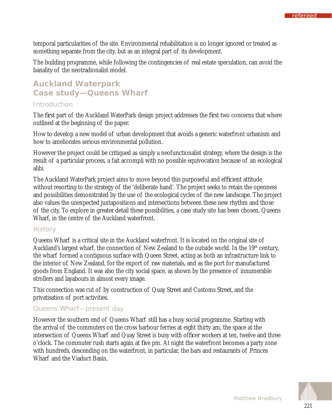temporal particularities of the site. Environmental rehabilitation is no longer ignored or treated as something separate from the city, but as an integral part of its development.

The building programme, while following the contingencies of real estate speculation, can avoid the banality of the neotradionalist model.

# **Auckland Waterpark Case study—Queens Wharf**

## *Introduction*

The first part of the Auckland WaterPark design project addresses the first two concerns that where outlined at the beginning of the paper.

How to develop a new model of urban development that avoids a generic waterfront urbanism and how to ameliorates serious environmental pollution.

However the project could be critiqued as simply a neofunctionalist strategy, where the design is the result of a particular process, a fait accompli with no possible equivocation because of an ecological alibi

The Auckland WaterPark project aims to move beyond this purposeful and efficient attitude without resorting to the strategy of the 'deliberate hand'. The project seeks to retain the openness and possibilities demonstrated by the use of the ecological cycles of the new landscape. The project also values the unexpected juxtapositions and intersections between these new rhythm and those of the city. To explore in greater detail these possibilities, a case study site has been chosen, Queens Wharf, in the centre of the Auckland waterfront.

### *History*

Queens Wharf is a critical site in the Auckland waterfront. It is located on the original site of Auckland's largest wharf, the connection of New Zealand to the outside world. In the 19<sup>th</sup> century, the wharf formed a contiguous surface with Queen Street, acting as both an infrastructure link to the interior of New Zealand, for the export of raw materials, and as the port for manufactured goods from England. It was also the city social space, as shown by the presence of innumerable strollers and layabouts in almost every image.

This connection was cut of by construction of Quay Street and Customs Street, and the privatisation of port activities.

## *Queens Wharf—present day*

However the southern end of Queens Wharf still has a busy social programme. Starting with the arrival of the commuters on the cross harbour ferries at eight thirty am, the space at the intersection of Queens Wharf and Quay Street is busy with officer workers at ten, twelve and three o'clock. The commuter rush starts again at five pm. At night the waterfront becomes a party zone with hundreds, descending on the waterfront, in particular, the bars and restaurants of Princes Wharf and the Viaduct Basin.



refereed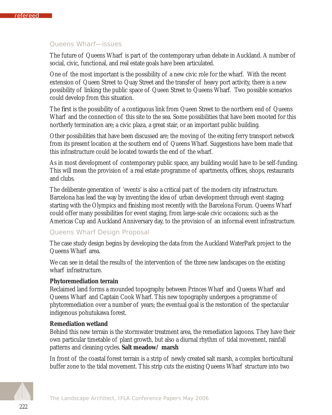### *Queens Wharf—issues*

The future of Queens Wharf is part of the contemporary urban debate in Auckland. A number of social, civic, functional, and real estate goals have been articulated.

One of the most important is the possibility of a new civic role for the wharf. With the recent extension of Queen Street to Quay Street and the transfer of heavy port activity, there is a new possibility of linking the public space of Queen Street to Queens Wharf. Two possible scenarios could develop from this situation.

The first is the possibility of a contiguous link from Queen Street to the northern end of Queens Wharf and the connection of this site to the sea. Some possibilities that have been mooted for this northerly termination are; a civic plaza, a great stair, or an important public building.

Other possibilities that have been discussed are; the moving of the exiting ferry transport network from its present location at the southern end of Queens Wharf. Suggestions have been made that this infrastructure could be located towards the end of the wharf.

As in most development of contemporary public space, any building would have to be self-funding. This will mean the provision of a real estate programme of apartments, offices, shops, restaurants and clubs.

The deliberate generation of 'events' is also a critical part of the modern city infrastructure. Barcelona has lead the way by inventing the idea of urban development through event staging; starting with the Olympics and finishing most recently with the Barcelona Forum. Queens Wharf could offer many possibilities for event staging, from large-scale civic occasions; such as the Americas Cup and Auckland Anniversary day, to the provision of an informal event infrastructure.

#### *Queens Wharf Design Proposal*

The case study design begins by developing the data from the Auckland WaterPark project to the Queens Wharf area.

We can see in detail the results of the intervention of the three new landscapes on the existing wharf infrastructure.

#### **Phytoremediation terrain**

Reclaimed land forms a mounded topography between Princes Wharf and Queens Wharf and Queens Wharf and Captain Cook Wharf. This new topography undergoes a programme of phytoremediation over a number of years; the eventual goal is the restoration of the spectacular indigenous pohutukawa forest.

#### **Remediation wetland**

Behind this new terrain is the stormwater treatment area, the remediation lagoons. They have their own particular timetable of plant growth, but also a diurnal rhythm of tidal movement, rainfall patterns and cleaning cycles. **Salt meadow/ marsh** 

In front of the coastal forest terrain is a strip of newly created salt marsh, a complex horticultural buffer zone to the tidal movement. This strip cuts the existing Queens Wharf structure into two

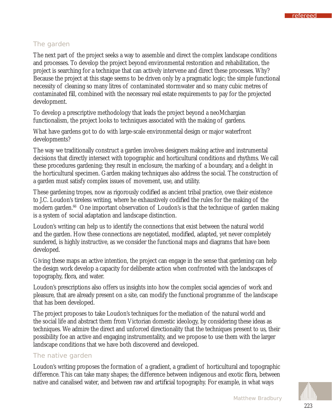### *The garden*

The next part of the project seeks a way to assemble and direct the complex landscape conditions and processes. To develop the project beyond environmental restoration and rehabilitation, the project is searching for a technique that can actively intervene and direct these processes. Why? Because the project at this stage seems to be driven only by a pragmatic logic; the simple functional necessity of cleaning so many litres of contaminated stormwater and so many cubic metres of contaminated fill, combined with the necessary real estate requirements to pay for the projected development.

To develop a prescriptive methodology that leads the project beyond a neoMchargian functionalism, the project looks to techniques associated with the making of gardens.

What have gardens got to do with large-scale environmental design or major waterfront developments?

The way we traditionally construct a garden involves designers making active and instrumental decisions that directly intersect with topographic and horticultural conditions and rhythms. We call these procedures gardening; they result in enclosure, the marking of a boundary, and a delight in the horticultural specimen. Garden making techniques also address the social. The construction of a garden must satisfy complex issues of movement, use, and utility.

These gardening tropes, now as rigorously codified as ancient tribal practice, owe their existence to J.C. Loudon's tireless writing, where he exhaustively codified the rules for the making of the modern garden.<sup>66</sup> One important observation of Loudon's is that the technique of garden making is a system of social adaptation and landscape distinction.

Loudon's writing can help us to identify the connections that exist between the natural world and the garden. How these connections are negotiated, modified, adapted, yet never completely sundered, is highly instructive, as we consider the functional maps and diagrams that have been developed.

Giving these maps an active intention, the project can engage in the sense that gardening can help the design work develop a capacity for deliberate action when confronted with the landscapes of topography, flora, and water.

Loudon's prescriptions also offers us insights into how the complex social agencies of work and pleasure, that are already present on a site, can modify the functional programme of the landscape that has been developed.

The project proposes to take Loudon's techniques for the mediation of the natural world and the social life and abstract them from Victorian domestic ideology, by considering these ideas as techniques. We admire the direct and unforced directionality that the techniques present to us, their possibility foe an active and engaging instrumentality, and we propose to use them with the larger landscape conditions that we have both discovered and developed.

### *The native garden*

Loudon's writing proposes the formation of a gradient, a gradient of horticultural and topographic difference. This can take many shapes; the difference between indigenous and exotic flora, between native and canalised water, and between raw and artificial topography. For example, in what ways

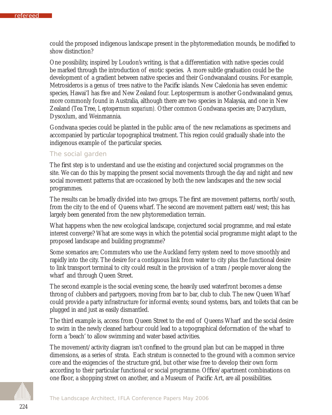could the proposed indigenous landscape present in the phytoremediation mounds, be modified to show distinction?

One possibility, inspired by Loudon's writing, is that a differentiation with native species could be marked through the introduction of exotic species. A more subtle graduation could be the development of a gradient between native species and their Gondwanaland cousins. For example, Metrosideros is a genus of trees native to the Pacific islands. New Caledonia has seven endemic species, Hawai'I has five and New Zealand four. Leptospermum is another Gondwanaland genus, more commonly found in Australia, although there are two species in Malaysia, and one in New Zealand (Tea Tree, *Leptospermum scoparium).* Other common Gondwana species are; Dacrydium, Dysoxlum, and Weinmannia.

Gondwana species could be planted in the public area of the new reclamations as specimens and accompanied by particular topographical treatment. This region could gradually shade into the indigenous example of the particular species.

#### *The social garden*

The first step is to understand and use the existing and conjectured social programmes on the site. We can do this by mapping the present social movements through the day and night and new social movement patterns that are occasioned by both the new landscapes and the new social programmes.

The results can be broadly divided into two groups. The first are movement patterns, north/south, from the city to the end of Queens wharf. The second are movement pattern east/west; this has largely been generated from the new phytoremediation terrain.

What happens when the new ecological landscape, conjectured social programme, and real estate interest converge? What are some ways in which the potential social programme might adapt to the proposed landscape and building programme?

Some scenarios are; Commuters who use the Auckland ferry system need to move smoothly and rapidly into the city. The desire for a contiguous link from water to city plus the functional desire to link transport terminal to city could result in the provision of a tram /people mover along the wharf and through Queen Street.

The second example is the social evening scene, the heavily used waterfront becomes a dense throng of clubbers and partygoers, moving from bar to bar, club to club. The new Queen Wharf could provide a party infrastructure for informal events; sound systems, bars, and toilets that can be plugged in and just as easily dismantled.

The third example is, access from Queen Street to the end of Queens Wharf and the social desire to swim in the newly cleaned harbour could lead to a topographical deformation of the wharf to form a 'beach' to allow swimming and water based activities.

The movement/activity diagram isn't confined to the ground plan but can be mapped in three dimensions, as a series of strata. Each stratum is connected to the ground with a common service core and the exigencies of the structure grid, but other wise free to develop their own form according to their particular functional or social programme. Office/apartment combinations on one floor, a shopping street on another, and a Museum of Pacific Art, are all possibilities.